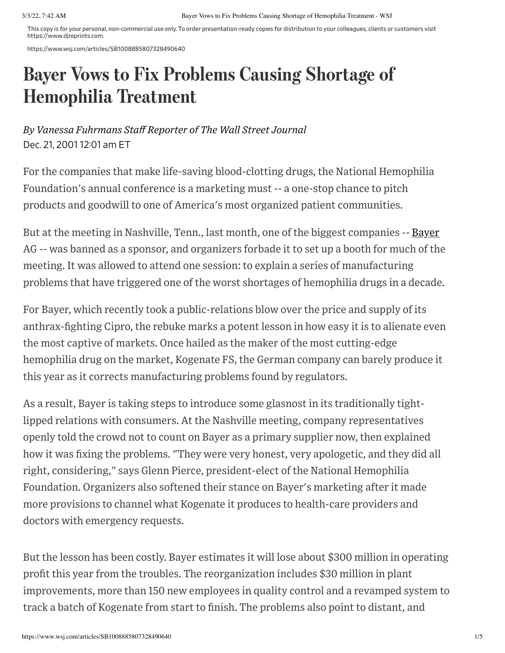This copy is for your personal, non-commercial use only. To order presentation-ready copies for distribution to your colleagues, clients or customers visit https://www.djreprints.com.

https://www.wsj.com/articles/SB1008885807328490640

# Bayer Vows to Fix Problems Causing Shortage of Hemophilia Treatment

## *By Vanessa Fuhrmans Staff Reporter of The Wall Street Journal* Dec. 21, 2001 12:01 am ET

For the companies that make life-saving blood-clotting drugs, the National Hemophilia Foundation's annual conference is a marketing must -- a one-stop chance to pitch products and goodwill to one of America's most organized patient communities.

But at the meeting in Nashville, Tenn., last month, one of the biggest companies -- [Bayer](https://www.wsj.com/market-data/quotes/g.bay) AG -- was banned as a sponsor, and organizers forbade it to set up a booth for much of the meeting. It was allowed to attend one session: to explain a series of manufacturing problems that have triggered one of the worst shortages of hemophilia drugs in a decade.

For Bayer, which recently took a public-relations blow over the price and supply of its anthrax-fighting Cipro, the rebuke marks a potent lesson in how easy it is to alienate even the most captive of markets. Once hailed as the maker of the most cutting-edge hemophilia drug on the market, Kogenate FS, the German company can barely produce it this year as it corrects manufacturing problems found by regulators.

As a result, Bayer is taking steps to introduce some glasnost in its traditionally tightlipped relations with consumers. At the Nashville meeting, company representatives openly told the crowd not to count on Bayer as a primary supplier now, then explained how it was fixing the problems. "They were very honest, very apologetic, and they did all right, considering," says Glenn Pierce, president-elect of the National Hemophilia Foundation. Organizers also softened their stance on Bayer's marketing after it made more provisions to channel what Kogenate it produces to health-care providers and doctors with emergency requests.

But the lesson has been costly. Bayer estimates it will lose about \$300 million in operating profit this year from the troubles. The reorganization includes \$30 million in plant improvements, more than 150 new employees in quality control and a revamped system to track a batch of Kogenate from start to finish. The problems also point to distant, and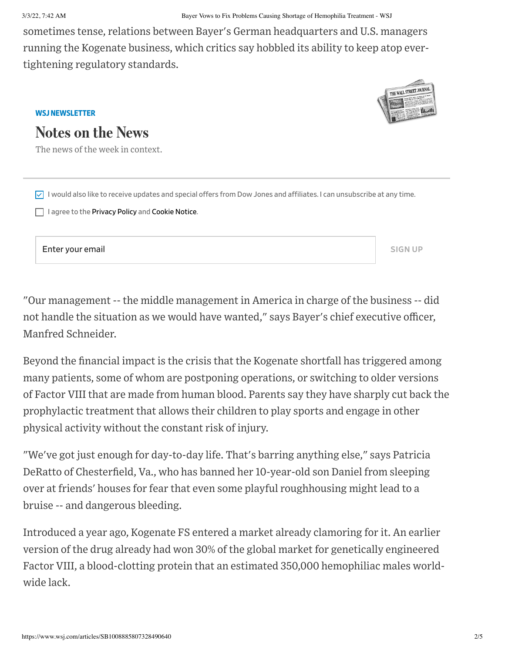sometimes tense, relations between Bayer's German headquarters and U.S. managers running the Kogenate business, which critics say hobbled its ability to keep atop evertightening regulatory standards.

### **WSJNEWSLETTER**



## Notes on the News

The news of the week in context.

 $\vee$  I would also like to receive updates and special offers from Dow Jones and affiliates. I can unsubscribe at any time.

 $\Box$  I agree to the [Privacy](https://www.dowjones.com/privacy-policy/) Policy and [Cookie](https://www.dowjones.com/cookie-notice/) Notice.

Enter your email states and the state of the state of the state of the state of the state of the state of the state of the state of the state of the state of the state of the state of the state of the state of the state of

"Our management -- the middle management in America in charge of the business -- did not handle the situation as we would have wanted," says Bayer's chief executive officer, Manfred Schneider.

Beyond the financial impact is the crisis that the Kogenate shortfall has triggered among many patients, some of whom are postponing operations, or switching to older versions of Factor VIII that are made from human blood. Parents say they have sharply cut back the prophylactic treatment that allows their children to play sports and engage in other physical activity without the constant risk of injury.

"We've got just enough for day-to-day life. That's barring anything else," says Patricia DeRatto of Chesterfield, Va., who has banned her 10-year-old son Daniel from sleeping over at friends' houses for fear that even some playful roughhousing might lead to a bruise -- and dangerous bleeding.

Introduced a year ago, Kogenate FS entered a market already clamoring for it. An earlier version of the drug already had won 30% of the global market for genetically engineered Factor VIII, a blood-clotting protein that an estimated 350,000 hemophiliac males worldwide lack.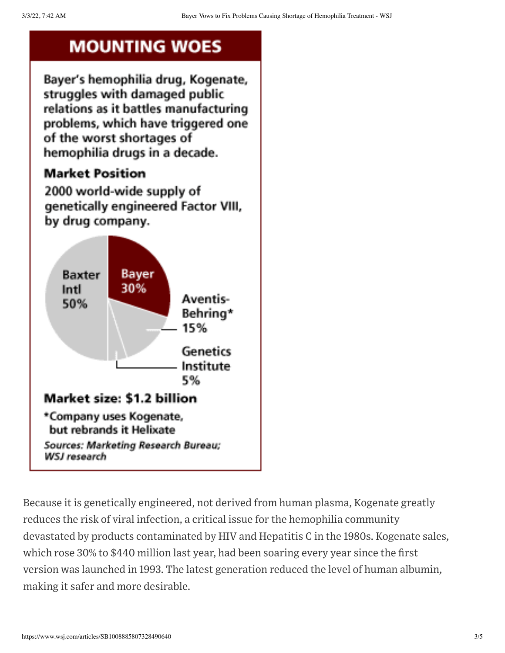# **MOUNTING WOES**

Bayer's hemophilia drug, Kogenate, struggles with damaged public relations as it battles manufacturing problems, which have triggered one of the worst shortages of hemophilia drugs in a decade.

## **Market Position**

2000 world-wide supply of genetically engineered Factor VIII, by drug company.



Because it is genetically engineered, not derived from human plasma, Kogenate greatly reduces the risk of viral infection, a critical issue for the hemophilia community devastated by products contaminated by HIV and Hepatitis C in the 1980s. Kogenate sales, which rose 30% to \$440 million last year, had been soaring every year since the first version was launched in 1993. The latest generation reduced the level of human albumin, making it safer and more desirable.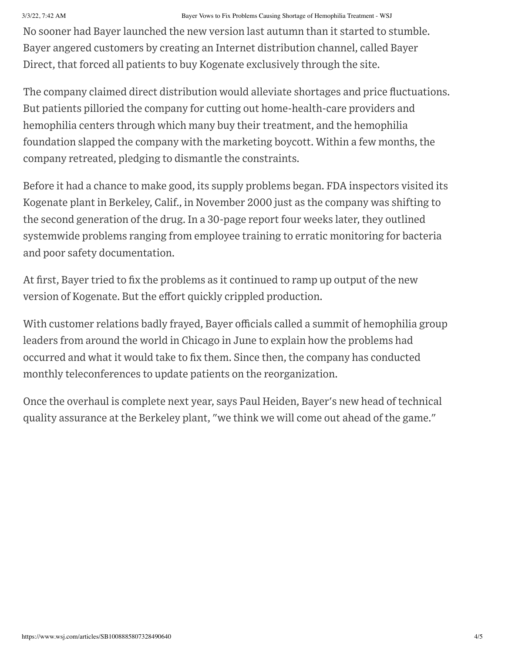#### 3/3/22, 7:42 AM Bayer Vows to Fix Problems Causing Shortage of Hemophilia Treatment - WSJ

No sooner had Bayer launched the new version last autumn than it started to stumble. Bayer angered customers by creating an Internet distribution channel, called Bayer Direct, that forced all patients to buy Kogenate exclusively through the site.

The company claimed direct distribution would alleviate shortages and price fluctuations. But patients pilloried the company for cutting out home-health-care providers and hemophilia centers through which many buy their treatment, and the hemophilia foundation slapped the company with the marketing boycott. Within a few months, the company retreated, pledging to dismantle the constraints.

Before it had a chance to make good, its supply problems began. FDA inspectors visited its Kogenate plant in Berkeley, Calif., in November 2000 just as the company was shifting to the second generation of the drug. In a 30-page report four weeks later, they outlined systemwide problems ranging from employee training to erratic monitoring for bacteria and poor safety documentation.

At first, Bayer tried to fix the problems as it continued to ramp up output of the new version of Kogenate. But the effort quickly crippled production.

With customer relations badly frayed, Bayer officials called a summit of hemophilia group leaders from around the world in Chicago in June to explain how the problems had occurred and what it would take to fix them. Since then, the company has conducted monthly teleconferences to update patients on the reorganization.

Once the overhaul is complete next year, says Paul Heiden, Bayer's new head of technical quality assurance at the Berkeley plant, "we think we will come out ahead of the game."